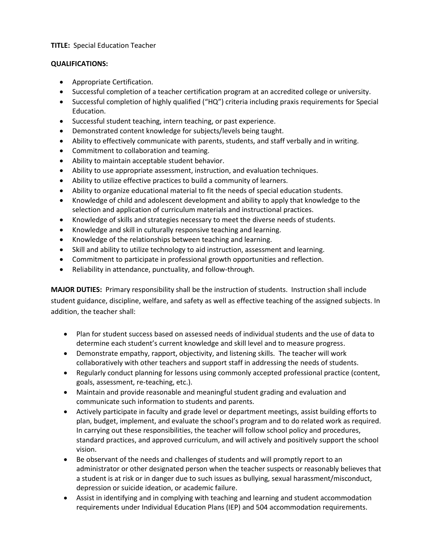## **TITLE:** Special Education Teacher

## **QUALIFICATIONS:**

- Appropriate Certification.
- Successful completion of a teacher certification program at an accredited college or university.
- Successful completion of highly qualified ("HQ") criteria including praxis requirements for Special Education.
- Successful student teaching, intern teaching, or past experience.
- Demonstrated content knowledge for subjects/levels being taught.
- Ability to effectively communicate with parents, students, and staff verbally and in writing.
- Commitment to collaboration and teaming.
- Ability to maintain acceptable student behavior.
- Ability to use appropriate assessment, instruction, and evaluation techniques.
- Ability to utilize effective practices to build a community of learners.
- Ability to organize educational material to fit the needs of special education students.
- Knowledge of child and adolescent development and ability to apply that knowledge to the selection and application of curriculum materials and instructional practices.
- Knowledge of skills and strategies necessary to meet the diverse needs of students.
- Knowledge and skill in culturally responsive teaching and learning.
- Knowledge of the relationships between teaching and learning.
- Skill and ability to utilize technology to aid instruction, assessment and learning.
- Commitment to participate in professional growth opportunities and reflection.
- Reliability in attendance, punctuality, and follow-through.

**MAJOR DUTIES:** Primary responsibility shall be the instruction of students. Instruction shall include student guidance, discipline, welfare, and safety as well as effective teaching of the assigned subjects. In addition, the teacher shall:

- Plan for student success based on assessed needs of individual students and the use of data to determine each student's current knowledge and skill level and to measure progress.
- Demonstrate empathy, rapport, objectivity, and listening skills. The teacher will work collaboratively with other teachers and support staff in addressing the needs of students.
- Regularly conduct planning for lessons using commonly accepted professional practice (content, goals, assessment, re-teaching, etc.).
- Maintain and provide reasonable and meaningful student grading and evaluation and communicate such information to students and parents.
- Actively participate in faculty and grade level or department meetings, assist building efforts to plan, budget, implement, and evaluate the school's program and to do related work as required. In carrying out these responsibilities, the teacher will follow school policy and procedures, standard practices, and approved curriculum, and will actively and positively support the school vision.
- Be observant of the needs and challenges of students and will promptly report to an administrator or other designated person when the teacher suspects or reasonably believes that a student is at risk or in danger due to such issues as bullying, sexual harassment/misconduct, depression or suicide ideation, or academic failure.
- Assist in identifying and in complying with teaching and learning and student accommodation requirements under Individual Education Plans (IEP) and 504 accommodation requirements.